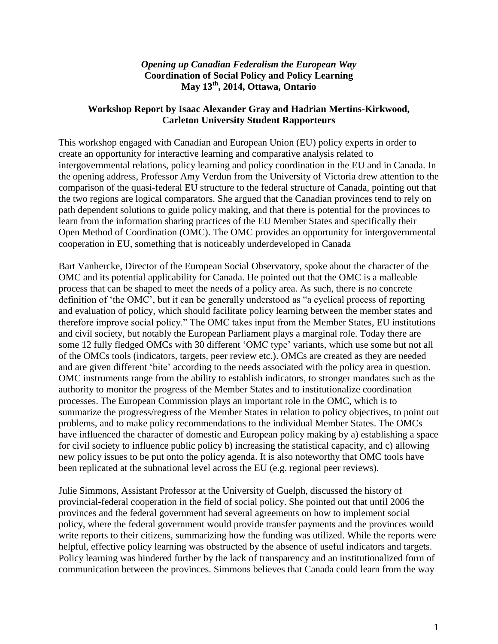## *Opening up Canadian Federalism the European Way* **Coordination of Social Policy and Policy Learning May 13th, 2014, Ottawa, Ontario**

## **Workshop Report by Isaac Alexander Gray and Hadrian Mertins-Kirkwood, Carleton University Student Rapporteurs**

This workshop engaged with Canadian and European Union (EU) policy experts in order to create an opportunity for interactive learning and comparative analysis related to intergovernmental relations, policy learning and policy coordination in the EU and in Canada. In the opening address, Professor Amy Verdun from the University of Victoria drew attention to the comparison of the quasi-federal EU structure to the federal structure of Canada, pointing out that the two regions are logical comparators. She argued that the Canadian provinces tend to rely on path dependent solutions to guide policy making, and that there is potential for the provinces to learn from the information sharing practices of the EU Member States and specifically their Open Method of Coordination (OMC). The OMC provides an opportunity for intergovernmental cooperation in EU, something that is noticeably underdeveloped in Canada

Bart Vanhercke, Director of the European Social Observatory, spoke about the character of the OMC and its potential applicability for Canada. He pointed out that the OMC is a malleable process that can be shaped to meet the needs of a policy area. As such, there is no concrete definition of 'the OMC', but it can be generally understood as "a cyclical process of reporting and evaluation of policy, which should facilitate policy learning between the member states and therefore improve social policy." The OMC takes input from the Member States, EU institutions and civil society, but notably the European Parliament plays a marginal role. Today there are some 12 fully fledged OMCs with 30 different 'OMC type' variants, which use some but not all of the OMCs tools (indicators, targets, peer review etc.). OMCs are created as they are needed and are given different 'bite' according to the needs associated with the policy area in question. OMC instruments range from the ability to establish indicators, to stronger mandates such as the authority to monitor the progress of the Member States and to institutionalize coordination processes. The European Commission plays an important role in the OMC, which is to summarize the progress/regress of the Member States in relation to policy objectives, to point out problems, and to make policy recommendations to the individual Member States. The OMCs have influenced the character of domestic and European policy making by a) establishing a space for civil society to influence public policy b) increasing the statistical capacity, and c) allowing new policy issues to be put onto the policy agenda. It is also noteworthy that OMC tools have been replicated at the subnational level across the EU (e.g. regional peer reviews).

Julie Simmons, Assistant Professor at the University of Guelph, discussed the history of provincial-federal cooperation in the field of social policy. She pointed out that until 2006 the provinces and the federal government had several agreements on how to implement social policy, where the federal government would provide transfer payments and the provinces would write reports to their citizens, summarizing how the funding was utilized. While the reports were helpful, effective policy learning was obstructed by the absence of useful indicators and targets. Policy learning was hindered further by the lack of transparency and an institutionalized form of communication between the provinces. Simmons believes that Canada could learn from the way